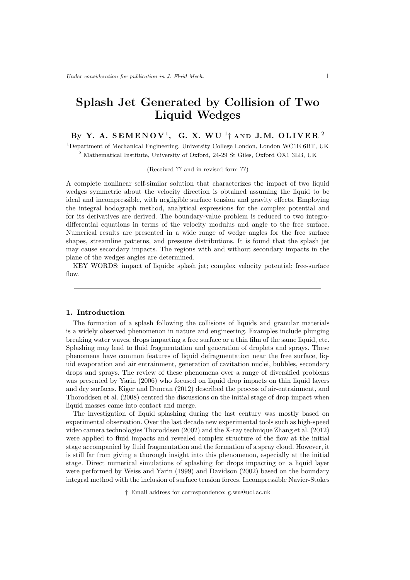# **Splash Jet Generated by Collision of Two Liquid Wedges**

# $\mathbf{B} \mathbf{y}$  Y. A.  $\mathbf{SEMENOV}^1$ , G. X.  $\mathbf{WU}^1\dagger$  and J.M. OLIVER  $^2$

<sup>1</sup>Department of Mechanical Engineering, University College London, London WC1E 6BT, UK <sup>2</sup> Mathematical Institute, University of Oxford, 24-29 St Giles, Oxford OX1 3LB, UK

#### (Received ?? and in revised form ??)

A complete nonlinear self-similar solution that characterizes the impact of two liquid wedges symmetric about the velocity direction is obtained assuming the liquid to be ideal and incompressible, with negligible surface tension and gravity effects. Employing the integral hodograph method, analytical expressions for the complex potential and for its derivatives are derived. The boundary-value problem is reduced to two integrodifferential equations in terms of the velocity modulus and angle to the free surface. Numerical results are presented in a wide range of wedge angles for the free surface shapes, streamline patterns, and pressure distributions. It is found that the splash jet may cause secondary impacts. The regions with and without secondary impacts in the plane of the wedges angles are determined.

KEY WORDS: impact of liquids; splash jet; complex velocity potential; free-surface flow.

#### **1. Introduction**

The formation of a splash following the collisions of liquids and granular materials is a widely observed phenomenon in nature and engineering. Examples include plunging breaking water waves, drops impacting a free surface or a thin film of the same liquid, etc. Splashing may lead to fluid fragmentation and generation of droplets and sprays. These phenomena have common features of liquid defragmentation near the free surface, liquid evaporation and air entrainment, generation of cavitation nuclei, bubbles, secondary drops and sprays. The review of these phenomena over a range of diversified problems was presented by Yarin (2006) who focused on liquid drop impacts on thin liquid layers and dry surfaces. Kiger and Duncan (2012) described the process of air-entrainment, and Thoroddsen et al. (2008) centred the discussions on the initial stage of drop impact when liquid masses came into contact and merge.

The investigation of liquid splashing during the last century was mostly based on experimental observation. Over the last decade new experimental tools such as high-speed video camera technologies Thoroddsen (2002) and the X-ray technique Zhang et al. (2012) were applied to fluid impacts and revealed complex structure of the flow at the initial stage accompanied by fluid fragmentation and the formation of a spray cloud. However, it is still far from giving a thorough insight into this phenomenon, especially at the initial stage. Direct numerical simulations of splashing for drops impacting on a liquid layer were performed by Weiss and Yarin (1999) and Davidson (2002) based on the boundary integral method with the inclusion of surface tension forces. Incompressible Navier-Stokes

*†* Email address for correspondence: g.wu@ucl.ac.uk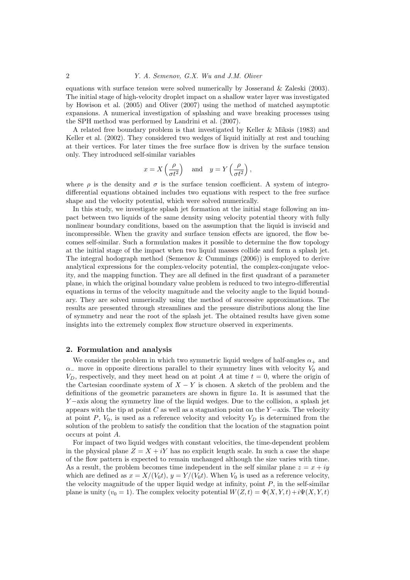equations with surface tension were solved numerically by Josserand & Zaleski (2003). The initial stage of high-velocity droplet impact on a shallow water layer was investigated by Howison et al. (2005) and Oliver (2007) using the method of matched asymptotic expansions. A numerical investigation of splashing and wave breaking processes using the SPH method was performed by Landrini et al. (2007).

A related free boundary problem is that investigated by Keller & Miksis (1983) and Keller et al. (2002). They considered two wedges of liquid initially at rest and touching at their vertices. For later times the free surface flow is driven by the surface tension only. They introduced self-similar variables

$$
x = X\left(\frac{\rho}{\sigma t^2}\right) \quad \text{and} \quad y = Y\left(\frac{\rho}{\sigma t^2}\right),
$$

where  $\rho$  is the density and  $\sigma$  is the surface tension coefficient. A system of integrodifferential equations obtained includes two equations with respect to the free surface shape and the velocity potential, which were solved numerically.

In this study, we investigate splash jet formation at the initial stage following an impact between two liquids of the same density using velocity potential theory with fully nonlinear boundary conditions, based on the assumption that the liquid is inviscid and incompressible. When the gravity and surface tension effects are ignored, the flow becomes self-similar. Such a formulation makes it possible to determine the flow topology at the initial stage of the impact when two liquid masses collide and form a splash jet. The integral hodograph method (Semenov & Cummings (2006)) is employed to derive analytical expressions for the complex-velocity potential, the complex-conjugate velocity, and the mapping function. They are all defined in the first quadrant of a parameter plane, in which the original boundary value problem is reduced to two integro-differential equations in terms of the velocity magnitude and the velocity angle to the liquid boundary. They are solved numerically using the method of successive approximations. The results are presented through streamlines and the pressure distributions along the line of symmetry and near the root of the splash jet. The obtained results have given some insights into the extremely complex flow structure observed in experiments.

#### **2. Formulation and analysis**

We consider the problem in which two symmetric liquid wedges of half-angles  $\alpha_+$  and  $\alpha$ <sub>−</sub> move in opposite directions parallel to their symmetry lines with velocity *V*<sub>0</sub> and  $V_D$ , respectively, and they meet head on at point *A* at time  $t = 0$ , where the origin of the Cartesian coordinate system of *X − Y* is chosen. A sketch of the problem and the definitions of the geometric parameters are shown in figure 1*a*. It is assumed that the *Y* −axis along the symmetry line of the liquid wedges. Due to the collision, a splash jet appears with the tip at point *C* as well as a stagnation point on the *Y −*axis. The velocity at point  $P$ ,  $V_0$ , is used as a reference velocity and velocity  $V_D$  is determined from the solution of the problem to satisfy the condition that the location of the stagnation point occurs at point *A*.

For impact of two liquid wedges with constant velocities, the time-dependent problem in the physical plane  $Z = X + iY$  has no explicit length scale. In such a case the shape of the flow pattern is expected to remain unchanged although the size varies with time. As a result, the problem becomes time independent in the self similar plane  $z = x + iy$ which are defined as  $x = X/(V_0 t)$ ,  $y = Y/(V_0 t)$ . When  $V_0$  is used as a reference velocity, the velocity magnitude of the upper liquid wedge at infinity, point *P*, in the self-similar plane is unity ( $v_0 = 1$ ). The complex velocity potential  $W(Z, t) = \Phi(X, Y, t) + i\Psi(X, Y, t)$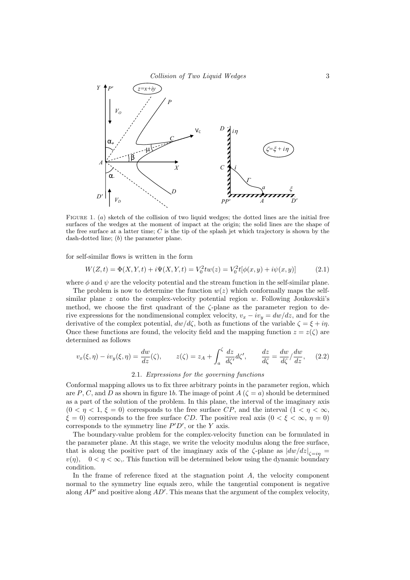

FIGURE 1. (*a*) sketch of the collision of two liquid wedges; the dotted lines are the initial free surfaces of the wedges at the moment of impact at the origin; the solid lines are the shape of the free surface at a latter time; *C* is the tip of the splash jet which trajectory is shown by the dash-dotted line; (*b*) the parameter plane.

for self-similar flows is written in the form

$$
W(Z,t) = \Phi(X,Y,t) + i\Psi(X,Y,t) = V_0^2 t w(z) = V_0^2 t [\phi(x,y) + i\psi(x,y)]
$$
\n(2.1)

where  $\phi$  and  $\psi$  are the velocity potential and the stream function in the self-similar plane.

The problem is now to determine the function  $w(z)$  which conformally maps the selfsimilar plane *z* onto the complex-velocity potential region *w*. Following Joukovskii's method, we choose the first quadrant of the *ζ*-plane as the parameter region to derive expressions for the nondimensional complex velocity,  $v_x - iv_y = dw/dz$ , and for the derivative of the complex potential,  $dw/d\zeta$ , both as functions of the variable  $\zeta = \xi + i\eta$ . Once these functions are found, the velocity field and the mapping function  $z = z(\zeta)$  are determined as follows

$$
v_x(\xi, \eta) - iv_y(\xi, \eta) = \frac{dw}{dz}(\zeta), \qquad z(\zeta) = z_A + \int_a^{\zeta} \frac{dz}{d\zeta'} d\zeta', \qquad \frac{dz}{d\zeta} = \frac{dw}{d\zeta} / \frac{dw}{dz}, \qquad (2.2)
$$

#### 2.1. *Expressions for the governing functions*

Conformal mapping allows us to fix three arbitrary points in the parameter region, which are *P*, *C*, and *D* as shown in figure 1*b*. The image of point *A* ( $\zeta = a$ ) should be determined as a part of the solution of the problem. In this plane, the interval of the imaginary axis  $(0 < \eta < 1, \xi = 0)$  corresponds to the free surface *CP*, and the interval  $(1 < \eta < \infty,$ *ξ* = 0) corresponds to the free surface *CD*. The positive real axis  $(0 < \xi < \infty, \eta = 0)$ corresponds to the symmetry line  $P'D'$ , or the *Y* axis.

The boundary-value problem for the complex-velocity function can be formulated in the parameter plane. At this stage, we write the velocity modulus along the free surface, that is along the positive part of the imaginary axis of the  $\zeta$ -plane as  $|dw/dz|_{\zeta=i\eta}$  $v(\eta)$ ,  $0 < \eta < \infty$ , This function will be determined below using the dynamic boundary condition.

In the frame of reference fixed at the stagnation point *A*, the velocity component normal to the symmetry line equals zero, while the tangential component is negative along *AP′* and positive along *AD′* . This means that the argument of the complex velocity,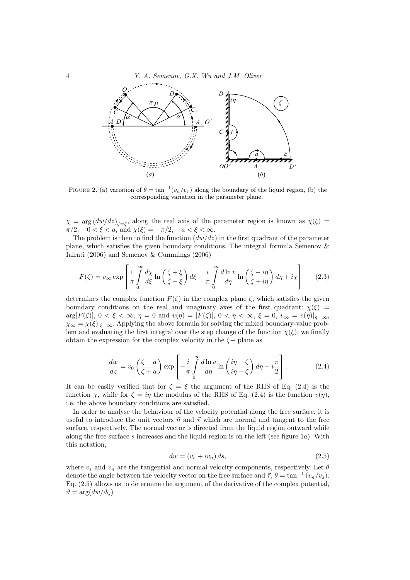4 *Y. A. Semenov, G.X. Wu and J.M. Oliver*



FIGURE 2. (a) variation of  $\theta = \tan^{-1}(v_n/v_\tau)$  along the boundary of the liquid region, (b) the corresponding variation in the parameter plane.

 $\chi = \arg (dw/dz)_{\zeta = \xi}$ , along the real axis of the parameter region is known as  $\chi(\xi)$ *π*/2*,*  $0 < \xi < a$ *,* and  $\chi(\xi) = -\pi/2$ *,*  $a < \xi < \infty$ *.* 

The problem is then to find the function  $(dw/dz)$  in the first quadrant of the parameter plane, which satisfies the given boundary conditions. The integral formula Semenov & Iafrati (2006) and Semenov & Cummings (2006)

$$
F(\zeta) = v_{\infty} \exp\left[\frac{1}{\pi} \int_{0}^{\infty} \frac{d\chi}{d\xi} \ln\left(\frac{\zeta + \xi}{\zeta - \xi}\right) d\xi - \frac{i}{\pi} \int_{0}^{\infty} \frac{d\ln v}{d\eta} \ln\left(\frac{\zeta - i\eta}{\zeta + i\eta}\right) d\eta + i\chi\right]
$$
(2.3)

determines the complex function  $F(\zeta)$  in the complex plane  $\zeta$ , which satisfies the given boundary conditions on the real and imaginary axes of the first quadrant:  $\chi(\xi)$  =  $arg[F(\zeta)], 0 < \xi < \infty, \eta = 0 \text{ and } v(\eta) = |F(\zeta)|, 0 < \eta < \infty, \xi = 0, v_{\infty} = v(\eta)|_{\eta = \infty},$  $\chi_{\infty} = \chi(\xi)|_{\xi=\infty}$ . Applying the above formula for solving the mixed boundary-value problem and evaluating the first integral over the step change of the function  $\chi(\xi)$ , we finally obtain the expression for the complex velocity in the *ζ−* plane as

$$
\frac{dw}{dz} = v_0 \left(\frac{\zeta - a}{\zeta + a}\right) \exp\left[-\frac{i}{\pi} \int_0^\infty \frac{d\ln v}{d\eta} \ln\left(\frac{i\eta - \zeta}{i\eta + \zeta}\right) d\eta - i\frac{\pi}{2}\right].\tag{2.4}
$$

It can be easily verified that for  $\zeta = \xi$  the argument of the RHS of Eq. (2.4) is the function *χ*, while for  $\zeta = i\eta$  the modulus of the RHS of Eq. (2.4) is the function  $v(\eta)$ , i.e. the above boundary conditions are satisfied.

In order to analyse the behaviour of the velocity potential along the free surface, it is useful to introduce the unit vectors  $\vec{n}$  and  $\vec{\tau}$  which are normal and tangent to the free surface, respectively. The normal vector is directed from the liquid region outward while along the free surface *s* increases and the liquid region is on the left (see figure 1*a*). With this notation,

$$
dw = (v_s + iv_n) ds, \t\t(2.5)
$$

where  $v_s$  and  $v_n$  are the tangential and normal velocity components, respectively. Let  $\theta$ denote the angle between the velocity vector on the free surface and  $\vec{\tau}, \theta = \tan^{-1}(v_n/v_s)$ . Eq. (2.5) allows us to determine the argument of the derivative of the complex potential,  $\vartheta = \arg(dw/d\zeta)$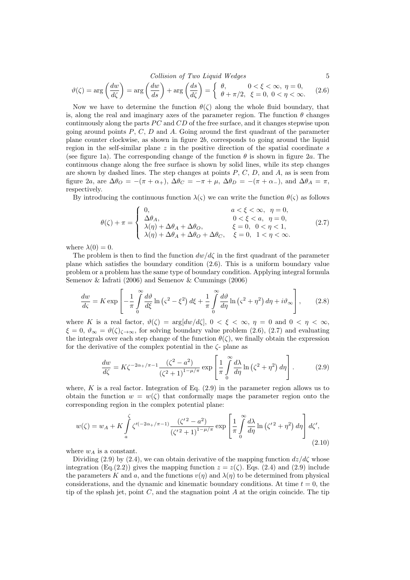*Collision of Two Liquid Wedges* 5

$$
\vartheta(\zeta) = \arg\left(\frac{dw}{d\zeta}\right) = \arg\left(\frac{dw}{ds}\right) + \arg\left(\frac{ds}{d\zeta}\right) = \begin{cases} \theta, & 0 < \xi < \infty, \ \eta = 0, \\ \theta + \pi/2, & \xi = 0, \ 0 < \eta < \infty. \end{cases} \tag{2.6}
$$

Now we have to determine the function  $\theta(\zeta)$  along the whole fluid boundary, that is, along the real and imaginary axes of the parameter region. The function  $\theta$  changes continuously along the parts *PC* and *CD* of the free surface, and it changes stepwise upon going around points *P*, *C*, *D* and *A*. Going around the first quadrant of the parameter plane counter clockwise, as shown in figure 2*b*, corresponds to going around the liquid region in the self-similar plane *z* in the positive direction of the spatial coordinate *s* (see figure 1a). The corresponding change of the function  $\theta$  is shown in figure 2*a*. The continuous change along the free surface is shown by solid lines, while its step changes are shown by dashed lines. The step changes at points *P*, *C*, *D*, and *A*, as is seen from figure 2*a*, are  $\Delta\theta$ *O* =  $-(\pi + \alpha_+)$ ,  $\Delta\theta$ *C* =  $-\pi + \mu$ ,  $\Delta\theta$ *D* =  $-(\pi + \alpha_-)$ , and  $\Delta\theta$ <sub>*A*</sub> =  $\pi$ , respectively.

By introducing the continuous function  $\lambda(\varsigma)$  we can write the function  $\theta(\varsigma)$  as follows

$$
\theta(\zeta) + \pi = \begin{cases}\n0, & a < \xi < \infty, \ \eta = 0, \\
\Delta \theta_A, & 0 < \xi < a, \ \eta = 0, \\
\lambda(\eta) + \Delta \theta_A + \Delta \theta_O, & \xi = 0, \ 0 < \eta < 1, \\
\lambda(\eta) + \Delta \theta_A + \Delta \theta_O + \Delta \theta_C, & \xi = 0, \ 1 < \eta < \infty.\n\end{cases}
$$
\n(2.7)

where  $\lambda(0) = 0$ .

The problem is then to find the function  $dw/d\zeta$  in the first quadrant of the parameter plane which satisfies the boundary condition (2.6). This is a uniform boundary value problem or a problem has the same type of boundary condition. Applying integral formula Semenov & Iafrati (2006) and Semenov & Cummings (2006)

$$
\frac{dw}{d\zeta} = K \exp\left[ -\frac{1}{\pi} \int_{0}^{\infty} \frac{d\vartheta}{d\zeta} \ln\left(\zeta^2 - \xi^2\right) d\zeta + \frac{1}{\pi} \int_{0}^{\infty} \frac{d\vartheta}{d\eta} \ln\left(\zeta^2 + \eta^2\right) d\eta + i\vartheta_{\infty} \right],\tag{2.8}
$$

where *K* is a real factor,  $\vartheta(\zeta) = \arg\{du/d\zeta\}, 0 < \xi < \infty, \eta = 0 \text{ and } 0 < \eta < \infty$ ,  $\xi = 0, \, \vartheta_{\infty} = \vartheta(\zeta)_{\zeta \to \infty}$ , for solving boundary value problem (2.6), (2.7) and evaluating the integrals over each step change of the function  $\theta(\zeta)$ , we finally obtain the expression for the derivative of the complex potential in the *ζ*- plane as

$$
\frac{dw}{d\zeta} = K\zeta^{-2\alpha_+/\pi - 1} \frac{(\zeta^2 - a^2)}{(\zeta^2 + 1)^{1 - \mu/\pi}} \exp\left[\frac{1}{\pi} \int_0^\infty \frac{d\lambda}{d\eta} \ln\left(\zeta^2 + \eta^2\right) d\eta\right].\tag{2.9}
$$

where,  $K$  is a real factor. Integration of Eq.  $(2.9)$  in the parameter region allows us to obtain the function  $w = w(\zeta)$  that conformally maps the parameter region onto the corresponding region in the complex potential plane:

$$
w(\zeta) = w_A + K \int_a^{\zeta} \zeta^{\prime (-2\alpha_+/\pi - 1)} \frac{(\zeta^{\prime 2} - a^2)}{(\zeta^{\prime 2} + 1)^{1 - \mu/\pi}} \exp\left[\frac{1}{\pi} \int_0^{\infty} \frac{d\lambda}{d\eta} \ln\left(\zeta^{\prime 2} + \eta^2\right) d\eta\right] d\zeta^{\prime},\tag{2.10}
$$

where  $w_A$  is a constant.

Dividing (2.9) by (2.4), we can obtain derivative of the mapping function  $dz/d\zeta$  whose integration (Eq.(2.2)) gives the mapping function  $z = z(\zeta)$ . Eqs. (2.4) and (2.9) include the parameters *K* and *a*, and the functions  $v(\eta)$  and  $\lambda(\eta)$  to be determined from physical considerations, and the dynamic and kinematic boundary conditions. At time  $t = 0$ , the tip of the splash jet, point *C*, and the stagnation point *A* at the origin coincide. The tip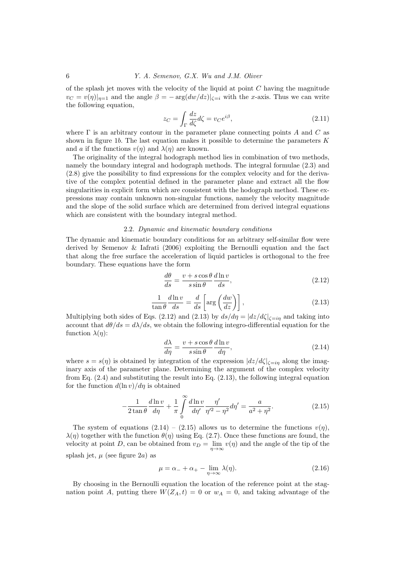of the splash jet moves with the velocity of the liquid at point *C* having the magnitude  $v_C = v(\eta)|_{\eta=1}$  and the angle  $\beta = -\arg(dw/dz)|_{\zeta=i}$  with the *x*-axis. Thus we can write the following equation,

$$
z_C = \int_{\Gamma} \frac{dz}{d\zeta} d\zeta = v_C e^{i\beta},\tag{2.11}
$$

where Γ is an arbitrary contour in the parameter plane connecting points *A* and *C* as shown in figure 1*b*. The last equation makes it possible to determine the parameters *K* and *a* if the functions  $v(\eta)$  and  $\lambda(\eta)$  are known.

The originality of the integral hodograph method lies in combination of two methods, namely the boundary integral and hodograph methods. The integral formulae (2.3) and (2.8) give the possibility to find expressions for the complex velocity and for the derivative of the complex potential defined in the parameter plane and extract all the flow singularities in explicit form which are consistent with the hodograph method. These expressions may contain unknown non-singular functions, namely the velocity magnitude and the slope of the solid surface which are determined from derived integral equations which are consistent with the boundary integral method.

#### 2.2. *Dynamic and kinematic boundary conditions*

The dynamic and kinematic boundary conditions for an arbitrary self-similar flow were derived by Semenov & Iafrati (2006) exploiting the Bernoulli equation and the fact that along the free surface the acceleration of liquid particles is orthogonal to the free boundary. These equations have the form

$$
\frac{d\theta}{ds} = \frac{v + s\cos\theta}{s\sin\theta} \frac{d\ln v}{ds},\tag{2.12}
$$

$$
\frac{1}{\tan \theta} \frac{d \ln v}{ds} = \frac{d}{ds} \left[ \arg \left( \frac{dw}{dz} \right) \right],\tag{2.13}
$$

Multiplying both sides of Eqs. (2.12) and (2.13) by  $ds/d\eta = |dz/d\zeta|_{\zeta=i\eta}$  and taking into account that  $d\theta/ds = d\lambda/ds$ , we obtain the following integro-differential equation for the function  $\lambda(\eta)$ :

$$
\frac{d\lambda}{d\eta} = \frac{v + s\cos\theta}{s\sin\theta} \frac{d\ln v}{d\eta},\tag{2.14}
$$

where  $s = s(\eta)$  is obtained by integration of the expression  $|dz/d\zeta|_{\zeta = i\eta}$  along the imaginary axis of the parameter plane. Determining the argument of the complex velocity from Eq.  $(2.4)$  and substituting the result into Eq.  $(2.13)$ , the following integral equation for the function  $d(\ln v)/d\eta$  is obtained

$$
-\frac{1}{2\tan\theta}\frac{d\ln v}{d\eta} + \frac{1}{\pi}\int_{0}^{\infty}\frac{d\ln v}{d\eta'}\frac{\eta'}{\eta'^2 - \eta^2}d\eta' = \frac{a}{a^2 + \eta^2}.
$$
 (2.15)

The system of equations  $(2.14) - (2.15)$  allows us to determine the functions  $v(n)$ . *λ*(*η*) together with the function  $θ(η)$  using Eq. (2.7). Once these functions are found, the velocity at point *D*, can be obtained from  $v_D = \lim_{\eta \to \infty} v(\eta)$  and the angle of the tip of the splash jet,  $\mu$  (see figure 2*a*) as

$$
\mu = \alpha_- + \alpha_+ - \lim_{\eta \to \infty} \lambda(\eta). \tag{2.16}
$$

By choosing in the Bernoulli equation the location of the reference point at the stagnation point *A*, putting there  $W(Z_A,t) = 0$  or  $w_A = 0$ , and taking advantage of the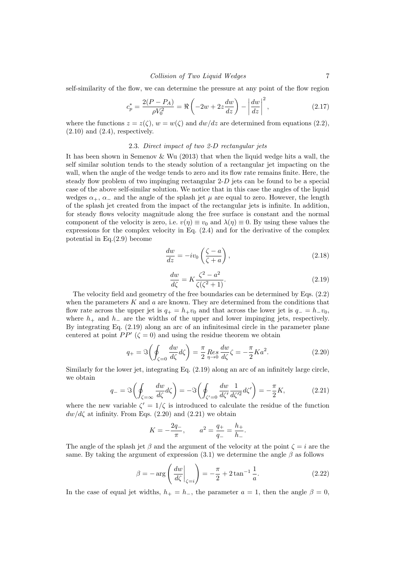self-similarity of the flow, we can determine the pressure at any point of the flow region

$$
c_p^* = \frac{2(P - P_A)}{\rho V_0^2} = \Re\left(-2w + 2z\frac{dw}{dz}\right) - \left|\frac{dw}{dz}\right|^2,
$$
 (2.17)

where the functions  $z = z(\zeta)$ ,  $w = w(\zeta)$  and  $dw/dz$  are determined from equations (2.2),  $(2.10)$  and  $(2.4)$ , respectively.

#### 2.3. *Direct impact of two 2-D rectangular jets*

It has been shown in Semenov & Wu (2013) that when the liquid wedge hits a wall, the self similar solution tends to the steady solution of a rectangular jet impacting on the wall, when the angle of the wedge tends to zero and its flow rate remains finite. Here, the steady flow problem of two impinging rectangular 2-*D* jets can be found to be a special case of the above self-similar solution. We notice that in this case the angles of the liquid wedges  $\alpha_+$ ,  $\alpha_-$  and the angle of the splash jet  $\mu$  are equal to zero. However, the length of the splash jet created from the impact of the rectangular jets is infinite. In addition, for steady flows velocity magnitude along the free surface is constant and the normal component of the velocity is zero, i.e.  $v(\eta) \equiv v_0$  and  $\lambda(\eta) \equiv 0$ . By using these values the expressions for the complex velocity in Eq.  $(2.4)$  and for the derivative of the complex potential in Eq.(2.9) become

$$
\frac{dw}{dz} = -iv_0 \left(\frac{\zeta - a}{\zeta + a}\right),\tag{2.18}
$$

$$
\frac{dw}{d\zeta} = K \frac{\zeta^2 - a^2}{\zeta(\zeta^2 + 1)}.\tag{2.19}
$$

The velocity field and geometry of the free boundaries can be determined by Eqs. (2.2) when the parameters *K* and *a* are known. They are determined from the conditions that flow rate across the upper jet is  $q_+ = h_+v_0$  and that across the lower jet is  $q_- = h_-v_0$ , where *h*<sup>+</sup> and *h<sup>−</sup>* are the widths of the upper and lower impinging jets, respectively. By integrating Eq. (2.19) along an arc of an infinitesimal circle in the parameter plane centered at point  $PP'$  ( $\zeta = 0$ ) and using the residue theorem we obtain

$$
q_{+} = \Im\left(\oint_{\zeta=0} \frac{dw}{d\zeta} d\zeta\right) = \frac{\pi}{2} \underset{\eta \to 0}{Res} \frac{dw}{d\zeta} \zeta = -\frac{\pi}{2} K a^{2}.
$$
 (2.20)

Similarly for the lower jet, integrating Eq. (2.19) along an arc of an infinitely large circle, we obtain

$$
q_{-} = \Im\left(\oint_{\zeta=\infty} \frac{dw}{d\zeta} d\zeta\right) = -\Im\left(\oint_{\zeta'=0} \frac{dw}{d\zeta'} \frac{1}{d\zeta'^2} d\zeta'\right) = -\frac{\pi}{2} K,\tag{2.21}
$$

where the new variable  $\zeta' = 1/\zeta$  is introduced to calculate the residue of the function  $dw/d\zeta$  at infinity. From Eqs. (2.20) and (2.21) we obtain

$$
K = -\frac{2q_-}{\pi}, \qquad a^2 = \frac{q_+}{q_-} = \frac{h_+}{h_-}.
$$

The angle of the splash jet  $\beta$  and the argument of the velocity at the point  $\zeta = i$  are the same. By taking the argument of expression  $(3.1)$  we determine the angle  $\beta$  as follows

$$
\beta = -\arg\left(\frac{dw}{d\zeta}\bigg|_{\zeta=i}\right) = -\frac{\pi}{2} + 2\tan^{-1}\frac{1}{a}.\tag{2.22}
$$

In the case of equal jet widths,  $h_{+} = h_{-}$ , the parameter  $a = 1$ , then the angle  $\beta = 0$ ,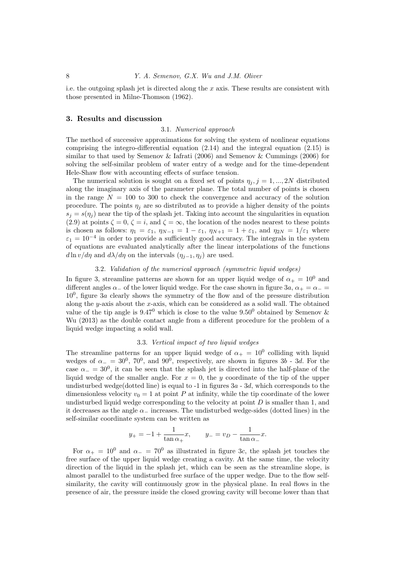i.e. the outgoing splash jet is directed along the *x* axis. These results are consistent with those presented in Milne-Thomson (1962).

#### **3. Results and discussion**

#### 3.1. *Numerical approach*

The method of successive approximations for solving the system of nonlinear equations comprising the integro-differential equation (2.14) and the integral equation (2.15) is similar to that used by Semenov & Iafrati (2006) and Semenov & Cummings (2006) for solving the self-similar problem of water entry of a wedge and for the time-dependent Hele-Shaw flow with accounting effects of surface tension.

The numerical solution is sought on a fixed set of points  $\eta_j$ ,  $j = 1, ..., 2N$  distributed along the imaginary axis of the parameter plane. The total number of points is chosen in the range  $N = 100$  to 300 to check the convergence and accuracy of the solution procedure. The points  $\eta_j$  are so distributed as to provide a higher density of the points  $s_i = s(\eta_i)$  near the tip of the splash jet. Taking into account the singularities in equation (2.9) at points  $\zeta = 0$ ,  $\zeta = i$ , and  $\zeta = \infty$ , the location of the nodes nearest to these points is chosen as follows:  $\eta_1 = \varepsilon_1$ ,  $\eta_{N-1} = 1 - \varepsilon_1$ ,  $\eta_{N+1} = 1 + \varepsilon_1$ , and  $\eta_{2N} = 1/\varepsilon_1$  where  $\varepsilon_1 = 10^{-4}$  in order to provide a sufficiently good accuracy. The integrals in the system of equations are evaluated analytically after the linear interpolations of the functions *d* ln *v*/*dn* and *d* $\lambda$ /*dn* on the intervals ( $\eta$ <sup>*j*</sup>*-*1*, n<sub>i</sub></sub>)* are used.

## 3.2. *Validation of the numerical approach (symmetric liquid wedges)*

In figure 3, streamline patterns are shown for an upper liquid wedge of  $\alpha_+ = 10^0$  and different angles  $\alpha$ <sub>−</sub> of the lower liquid wedge. For the case shown in figure 3*a*,  $\alpha$ <sub>+</sub> =  $\alpha$ <sub>−</sub> = 10<sup>0</sup> , figure 3*a* clearly shows the symmetry of the flow and of the pressure distribution along the *y*-axis about the *x*-axis, which can be considered as a solid wall. The obtained value of the tip angle is  $9.47^{\circ}$  which is close to the value  $9.50^{\circ}$  obtained by Semenov & Wu (2013) as the double contact angle from a different procedure for the problem of a liquid wedge impacting a solid wall.

#### 3.3. *Vertical impact of two liquid wedges*

The streamline patterns for an upper liquid wedge of  $\alpha_{+} = 10^{0}$  colliding with liquid wedges of  $\alpha_{-} = 30^0$ ,  $70^0$ , and  $90^0$ , respectively, are shown in figures  $3b - 3d$ . For the case  $\alpha$ <sub>−</sub> = 30<sup>0</sup>, it can be seen that the splash jet is directed into the half-plane of the liquid wedge of the smaller angle. For  $x = 0$ , the *y* coordinate of the tip of the upper undisturbed wedge(dotted line) is equal to -1 in figures 3*a* - 3*d*, which corresponds to the dimensionless velocity  $v_0 = 1$  at point *P* at infinity, while the tip coordinate of the lower undisturbed liquid wedge corresponding to the velocity at point *D* is smaller than 1, and it decreases as the angle  $\alpha$ <sub>−</sub> increases. The undisturbed wedge-sides (dotted lines) in the self-similar coordinate system can be written as

$$
y_{+} = -1 + \frac{1}{\tan \alpha_{+}}x
$$
,  $y_{-} = v_{D} - \frac{1}{\tan \alpha_{-}}x$ .

For  $\alpha_+ = 10^0$  and  $\alpha_- = 70^0$  as illustrated in figure 3*c*, the splash jet touches the free surface of the upper liquid wedge creating a cavity. At the same time, the velocity direction of the liquid in the splash jet, which can be seen as the streamline slope, is almost parallel to the undisturbed free surface of the upper wedge. Due to the flow selfsimilarity, the cavity will continuously grow in the physical plane. In real flows in the presence of air, the pressure inside the closed growing cavity will become lower than that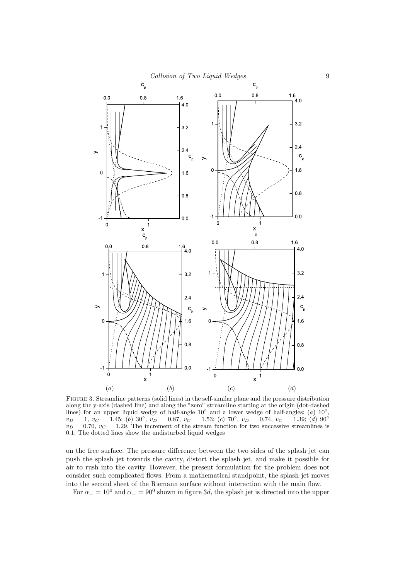

Figure 3. Streamline patterns (solid lines) in the self-similar plane and the pressure distribution along the y-axis (dashed line) and along the "zero" streamline starting at the origin (dot-dashed lines) for an upper liquid wedge of half-angle 10<sup>°</sup> and a lower wedge of half-angles: (*a*) 10<sup>°</sup>,  $v_D = 1, v_C = 1.45$ ; (b) 30°,  $v_D = 0.87, v_C = 1.53$ ; (c) 70°,  $v_D = 0.74, v_C = 1.39$ ; (d) 90°  $v_D = 0.70$ ,  $v_C = 1.29$ . The increment of the stream function for two successive streamlines is 0*.*1. The dotted lines show the undisturbed liquid wedges

on the free surface. The pressure difference between the two sides of the splash jet can push the splash jet towards the cavity, distort the splash jet, and make it possible for air to rush into the cavity. However, the present formulation for the problem does not consider such complicated flows. From a mathematical standpoint, the splash jet moves into the second sheet of the Riemann surface without interaction with the main flow.

For  $\alpha_+ = 10^0$  and  $\alpha_- = 90^0$  shown in figure 3*d*, the splash jet is directed into the upper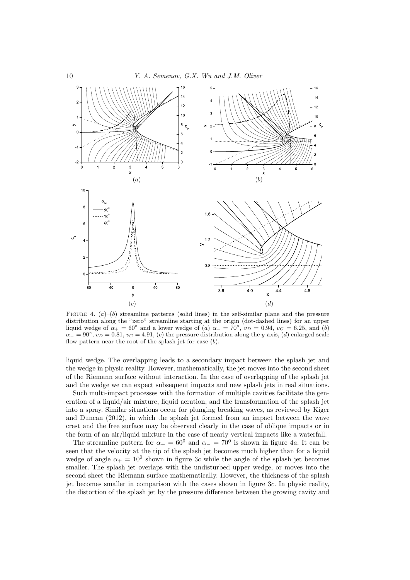

FIGURE 4.  $(a)$ – $(b)$  streamline patterns (solid lines) in the self-similar plane and the pressure distribution along the "zero" streamline starting at the origin (dot-dashed lines) for an upper liquid wedge of  $\alpha_+ = 60^\circ$  and a lower wedge of  $(a)$   $\alpha_- = 70^\circ$ ,  $v_D = 0.94$ ,  $v_C = 6.25$ , and  $(b)$  $\alpha$ <sub>−</sub> = 90<sup>°</sup>,  $v_D$  = 0.81,  $v_C$  = 4.91, (*c*) the pressure distribution along the *y*-axis, (*d*) enlarged-scale flow pattern near the root of the splash jet for case (*b*).

liquid wedge. The overlapping leads to a secondary impact between the splash jet and the wedge in physic reality. However, mathematically, the jet moves into the second sheet of the Riemann surface without interaction. In the case of overlapping of the splash jet and the wedge we can expect subsequent impacts and new splash jets in real situations.

Such multi-impact processes with the formation of multiple cavities facilitate the generation of a liquid/air mixture, liquid aeration, and the transformation of the splash jet into a spray. Similar situations occur for plunging breaking waves, as reviewed by Kiger and Duncan (2012), in which the splash jet formed from an impact between the wave crest and the free surface may be observed clearly in the case of oblique impacts or in the form of an air/liquid mixture in the case of nearly vertical impacts like a waterfall.

The streamline pattern for  $\alpha_+ = 60^0$  and  $\alpha_- = 70^0$  is shown in figure 4*a*. It can be seen that the velocity at the tip of the splash jet becomes much higher than for a liquid wedge of angle  $\alpha_+ = 10^0$  shown in figure 3*c* while the angle of the splash jet becomes smaller. The splash jet overlaps with the undisturbed upper wedge, or moves into the second sheet the Riemann surface mathematically. However, the thickness of the splash jet becomes smaller in comparison with the cases shown in figure 3*c*. In physic reality, the distortion of the splash jet by the pressure difference between the growing cavity and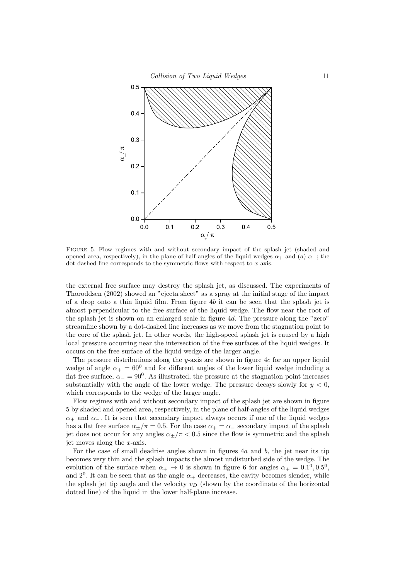

Figure 5. Flow regimes with and without secondary impact of the splash jet (shaded and opened area, respectively), in the plane of half-angles of the liquid wedges  $\alpha_+$  and  $(\alpha)$   $\alpha_-$ ; the dot-dashed line corresponds to the symmetric flows with respect to *x*-axis.

the external free surface may destroy the splash jet, as discussed. The experiments of Thoroddsen (2002) showed an "ejecta sheet" as a spray at the initial stage of the impact of a drop onto a thin liquid film. From figure 4*b* it can be seen that the splash jet is almost perpendicular to the free surface of the liquid wedge. The flow near the root of the splash jet is shown on an enlarged scale in figure 4*d*. The pressure along the "zero" streamline shown by a dot-dashed line increases as we move from the stagnation point to the core of the splash jet. In other words, the high-speed splash jet is caused by a high local pressure occurring near the intersection of the free surfaces of the liquid wedges. It occurs on the free surface of the liquid wedge of the larger angle.

The pressure distributions along the *y*-axis are shown in figure 4*c* for an upper liquid wedge of angle  $\alpha_+ = 60^0$  and for different angles of the lower liquid wedge including a flat free surface,  $\alpha_$  =  $90^0$ . As illustrated, the pressure at the stagnation point increases substantially with the angle of the lower wedge. The pressure decays slowly for  $y < 0$ , which corresponds to the wedge of the larger angle.

Flow regimes with and without secondary impact of the splash jet are shown in figure 5 by shaded and opened area, respectively, in the plane of half-angles of the liquid wedges *α*<sup>+</sup> and *α−*. It is seen that secondary impact always occurs if one of the liquid wedges has a flat free surface  $\alpha_{\pm}/\pi = 0.5$ . For the case  $\alpha_{+} = \alpha_{-}$  secondary impact of the splash jet does not occur for any angles  $\alpha_{\pm}/\pi$  < 0.5 since the flow is symmetric and the splash jet moves along the *x*-axis.

For the case of small deadrise angles shown in figures 4*a* and *b*, the jet near its tip becomes very thin and the splash impacts the almost undisturbed side of the wedge. The evolution of the surface when  $\alpha_+ \to 0$  is shown in figure 6 for angles  $\alpha_+ = 0.1^0, 0.5^0,$ and  $2^0$ . It can be seen that as the angle  $\alpha_+$  decreases, the cavity becomes slender, while the splash jet tip angle and the velocity *v<sup>D</sup>* (shown by the coordinate of the horizontal dotted line) of the liquid in the lower half-plane increase.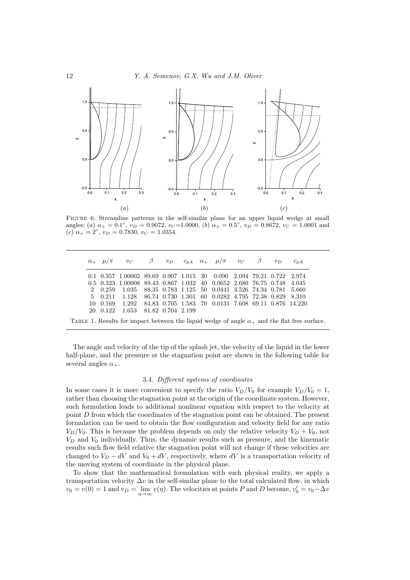

FIGURE 6. Streamline patterns in the self-similar plane for an upper liquid wedge at small angles: (*a*)  $\alpha_+ = 0.1^\circ$ ,  $v_D = 0.9072$ ,  $v_C = 1.0000$ , (*b*)  $\alpha_+ = 0.5^\circ$ ,  $v_D = 0.8672$ ,  $v_C = 1.0001$  and  $(c) \ \alpha_+ = 2^\circ, \ v_D = 0.7830, \ v_C = 1.0354.$ 

|          | $\alpha_+$ $\mu/\pi$ vc $\beta$ vp $c_{pA}$ $\alpha_+$ $\mu/\pi$ vc $\beta$ vp               |  |  |                                                      |  | $c_{pA}$ |
|----------|----------------------------------------------------------------------------------------------|--|--|------------------------------------------------------|--|----------|
|          | $0.1$ $0.357$ $1.00002$ $89.69$ $0.907$ $1.015$ $30$ $0.090$ $2.094$ $79.21$ $0.722$ $2.974$ |  |  |                                                      |  |          |
|          | 0.5 0.323 1.00008 89.43 0.867 1.032 40 0.0652 2.680 76.75 0.748 4.045                        |  |  |                                                      |  |          |
| 2 0.259  | 1.035                                                                                        |  |  | 88.35 0.783 1.125 50 0.0441 3.526 74.34 0.781        |  | -5.660   |
| 5 0.211  | 1.128 86.74 0.730 1.301 60 0.0282 4.795 72.38 0.829 8.310                                    |  |  |                                                      |  |          |
| 10 0.169 | 1.292                                                                                        |  |  | 84.83 0.705 1.583 70 0.0131 7.608 69.11 0.876 14.220 |  |          |
| 20 0.122 | 1.653 81.82 0.704 2.199                                                                      |  |  |                                                      |  |          |

The angle and velocity of the tip of the splash jet, the velocity of the liquid in the lower half-plane, and the pressure at the stagnation point are shown in the following table for several angles  $\alpha_+$ .

### 3.4. *Different systems of coordinates*

In some cases it is more convenient to specify the ratio  $V_D/V_0$  for example  $V_D/V_0 = 1$ , rather than choosing the stagnation point at the origin of the coordinate system. However, such formulation leads to additional nonlinear equation with respect to the velocity at point *D* from which the coordinates of the stagnation point can be obtained. The present formulation can be used to obtain the flow configuration and velocity field for any ratio  $V_D/V_0$ . This is because the problem depends on only the relative velocity  $V_D + V_0$ , not *V<sup>D</sup>* and *V*<sup>0</sup> individually. Thus, the dynamic results such as pressure, and the kinematic results such flow field relative the stagnation point will not change if these velocities are changed to  $V_D - dV$  and  $V_0 + dV$ , respectively, where  $dV$  is a transportation velocity of the moving system of coordinate in the physical plane.

To show that the mathematical formulation with such physical reality, we apply a transportation velocity  $\Delta v$  in the self-similar plane to the total calculated flow, in which  $v_0 = v(0) = 1$  and  $v_D = \lim_{\eta \to \infty} v(\eta)$ . The velocities at points *P* and *D* become,  $v'_0 = v_0 - \Delta v$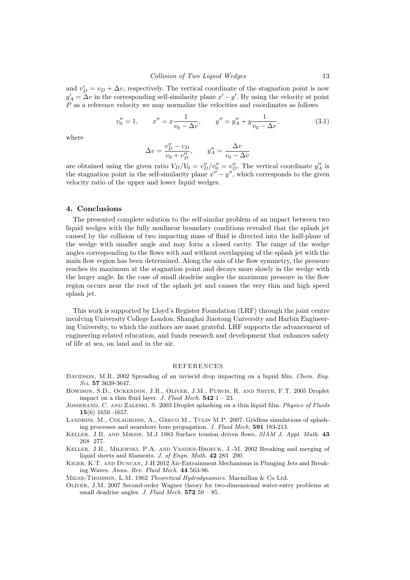and  $v'_{D} = v_{D} + \Delta v$ , respectively. The vertical coordinate of the stagnation point is now  $y'_{A} = \Delta v$  in the corresponding self-similarity plane *x*' *−y*'. By using the velocity at point *P* as a reference velocity we may normalize the velocities and coordinates as follows

$$
v_0'' = 1, \qquad x'' = x \frac{1}{v_0 - \Delta v}, \qquad y'' = y_A'' + y \frac{1}{v_0 - \Delta v}, \tag{3.1}
$$

where

$$
\Delta v = \frac{v''_D - v_D}{v_0 + v''_D}, \qquad y''_A = \frac{\Delta v}{v_0 - \Delta v}
$$

are obtained using the given ratio  $V_D/V_0 = v''_D/v''_0 = v''_D$ . The vertical coordinate  $y''_A$  is the stagnation point in the self-similarity plane  $x'' - y''$ , which corresponds to the given velocity ratio of the upper and lower liquid wedges.

#### **4. Conclusions**

The presented complete solution to the self-similar problem of an impact between two liquid wedges with the fully nonlinear boundary conditions revealed that the splash jet caused by the collision of two impacting mass of fluid is directed into the half-plane of the wedge with smaller angle and may form a closed cavity. The range of the wedge angles corresponding to the flows with and without overlapping of the splash jet with the main flow region has been determined. Along the axis of the flow symmetry, the pressure reaches its maximum at the stagnation point and decays more slowly in the wedge with the larger angle. In the case of small deadrise angles the maximum pressure in the flow region occurs near the root of the splash jet and causes the very thin and high speed splash jet.

This work is supported by Lloyd's Register Foundation (LRF) through the joint centre involving University College London, Shanghai Jiaotong University and Harbin Engineering University, to which the authors are most grateful. LRF supports the advancement of engineering-related education, and funds research and development that enhances safety of life at sea, on land and in the air.

#### REFERENCES

- DAVIDSON, M.R. 2002 Spreading of an inviscid drop impacting on a liquid film. *Chem. Eng. Sci.* **57** 3639-3647.
- Howison, S.D., Ockendon, J.R., Oliver, J.M., Purvis, R. and Smith, F.T. 2005 Droplet impact on a thin fluid layer. *J. Fluid Mech.* **542** 1 – 23.
- Josserand, C. and Zaleski, S. 2003 Droplet splashing on a thin liquid film. *Physics of Fluids* **15**(6) 1650 -1657.
- Landrini, M., Colagrossi, A., Greco M., Tulin M.P. 2007. Gridless simulations of splashing processes and nearshore bore propagation. *J. Fluid Mech.* **591** 183-213.
- Keller, J.B. and Miksis, M.J 1983 Surface tension driven flows. *SIAM J. Appl. Math.* **43** 268 277.
- Keller, J.B., Milewski, P.A. and Vanden-Broeck, J.-M. 2002 Breaking and merging of liquid sheets and filaments. *J. of Engn. Math.* **42** 283 290.
- Kiger, K.T. and Duncan, J.H 2012 Air-Entrainment Mechanisms in Plunging Jets and Breaking Waves. *Annu. Rev. Fluid Mech.* **44** 563-96.

Milne-Thomson, L.M. 1962 *Theoretical Hydrodynamics.* Macmillan & Co Ltd.

Oliver, J.M. 2007 Second-order Wagner theory for two-dimensional water-entry problems at small deadrise angles. *J. Fluid Mech.* **572** 59 – 85.